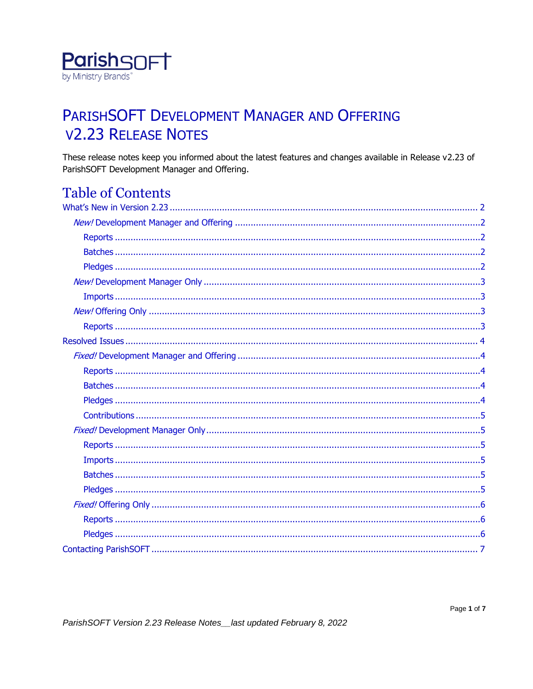

# PARISHSOFT DEVELOPMENT MANAGER AND OFFERING **V2.23 RELEASE NOTES**

These release notes keep you informed about the latest features and changes available in Release v2.23 of ParishSOFT Development Manager and Offering.

## **Table of Contents**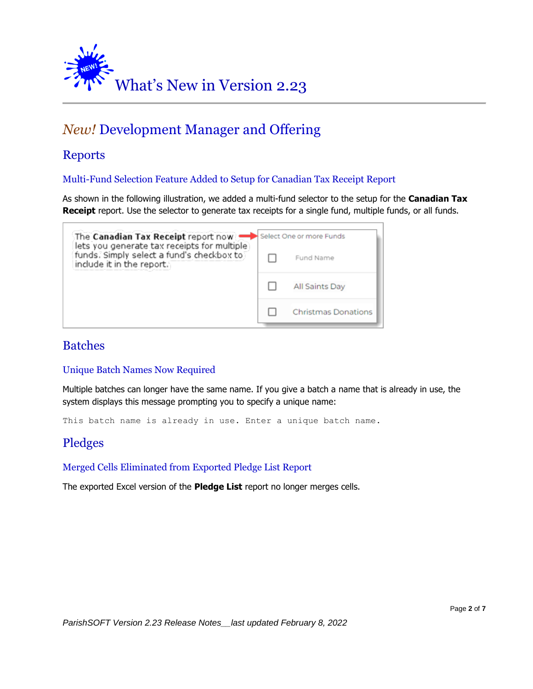<span id="page-1-0"></span>

## <span id="page-1-1"></span>*New!* Development Manager and Offering

## <span id="page-1-2"></span>Reports

Multi-Fund Selection Feature Added to Setup for Canadian Tax Receipt Report

As shown in the following illustration, we added a multi-fund selector to the setup for the **Canadian Tax Receipt** report. Use the selector to generate tax receipts for a single fund, multiple funds, or all funds.



### <span id="page-1-3"></span>Batches

#### Unique Batch Names Now Required

Multiple batches can longer have the same name. If you give a batch a name that is already in use, the system displays this message prompting you to specify a unique name:

This batch name is already in use. Enter a unique batch name.

## <span id="page-1-4"></span>Pledges

Merged Cells Eliminated from Exported Pledge List Report

The exported Excel version of the **Pledge List** report no longer merges cells.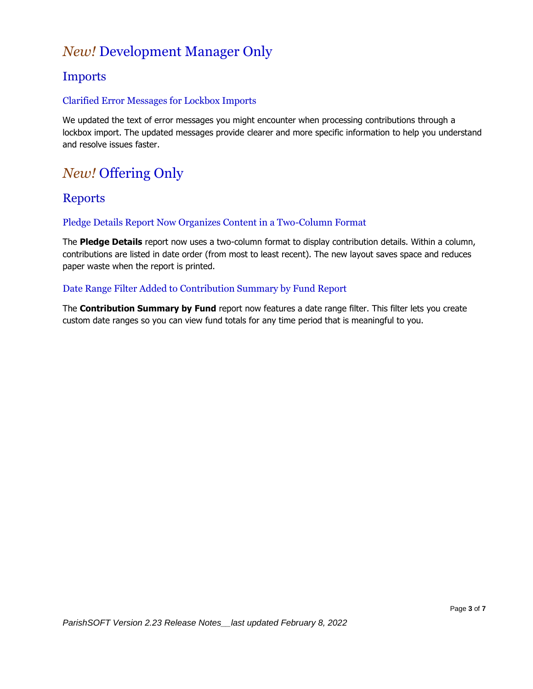## <span id="page-2-0"></span>*New!* Development Manager Only

## <span id="page-2-1"></span>Imports

#### Clarified Error Messages for Lockbox Imports

We updated the text of error messages you might encounter when processing contributions through a lockbox import. The updated messages provide clearer and more specific information to help you understand and resolve issues faster.

## <span id="page-2-2"></span>*New!* Offering Only

## <span id="page-2-3"></span>**Reports**

#### Pledge Details Report Now Organizes Content in a Two-Column Format

The **Pledge Details** report now uses a two-column format to display contribution details. Within a column, contributions are listed in date order (from most to least recent). The new layout saves space and reduces paper waste when the report is printed.

#### Date Range Filter Added to Contribution Summary by Fund Report

The **Contribution Summary by Fund** report now features a date range filter. This filter lets you create custom date ranges so you can view fund totals for any time period that is meaningful to you.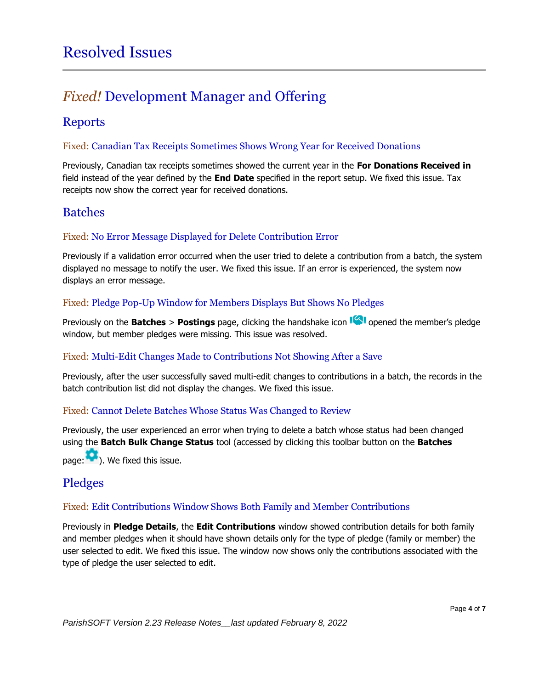## <span id="page-3-1"></span><span id="page-3-0"></span>*Fixed!* Development Manager and Offering

## <span id="page-3-2"></span>Reports

#### Fixed: Canadian Tax Receipts Sometimes Shows Wrong Year for Received Donations

Previously, Canadian tax receipts sometimes showed the current year in the **For Donations Received in** field instead of the year defined by the **End Date** specified in the report setup. We fixed this issue. Tax receipts now show the correct year for received donations.

## <span id="page-3-3"></span>Batches

#### Fixed: No Error Message Displayed for Delete Contribution Error

Previously if a validation error occurred when the user tried to delete a contribution from a batch, the system displayed no message to notify the user. We fixed this issue. If an error is experienced, the system now displays an error message.

#### Fixed: Pledge Pop-Up Window for Members Displays But Shows No Pledges

Previously on the **Batches** > **Postings** page, clicking the handshake icon **Sum** opened the member's pledge window, but member pledges were missing. This issue was resolved.

#### Fixed: Multi-Edit Changes Made to Contributions Not Showing After a Save

Previously, after the user successfully saved multi-edit changes to contributions in a batch, the records in the batch contribution list did not display the changes. We fixed this issue.

#### Fixed: Cannot Delete Batches Whose Status Was Changed to Review

Previously, the user experienced an error when trying to delete a batch whose status had been changed using the **Batch Bulk Change Status** tool (accessed by clicking this toolbar button on the **Batches** page: ). We fixed this issue.

## <span id="page-3-4"></span>Pledges

#### Fixed: Edit Contributions Window Shows Both Family and Member Contributions

Previously in **Pledge Details**, the **Edit Contributions** window showed contribution details for both family and member pledges when it should have shown details only for the type of pledge (family or member) the user selected to edit. We fixed this issue. The window now shows only the contributions associated with the type of pledge the user selected to edit.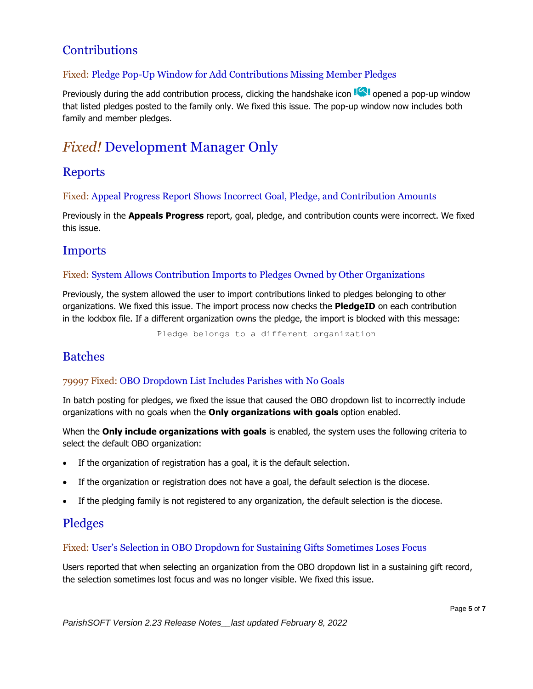## <span id="page-4-0"></span>**Contributions**

#### Fixed: Pledge Pop-Up Window for Add Contributions Missing Member Pledges

Previously during the add contribution process, clicking the handshake icon  $\mathbb{I}$  opened a pop-up window that listed pledges posted to the family only. We fixed this issue. The pop-up window now includes both family and member pledges.

## <span id="page-4-1"></span>*Fixed!* Development Manager Only

### <span id="page-4-2"></span>Reports

Fixed: Appeal Progress Report Shows Incorrect Goal, Pledge, and Contribution Amounts

Previously in the **Appeals Progress** report, goal, pledge, and contribution counts were incorrect. We fixed this issue.

### <span id="page-4-3"></span>Imports

#### Fixed: System Allows Contribution Imports to Pledges Owned by Other Organizations

Previously, the system allowed the user to import contributions linked to pledges belonging to other organizations. We fixed this issue. The import process now checks the **PledgeID** on each contribution in the lockbox file. If a different organization owns the pledge, the import is blocked with this message:

Pledge belongs to a different organization

### <span id="page-4-4"></span>Batches

#### 79997 Fixed: OBO Dropdown List Includes Parishes with No Goals

In batch posting for pledges, we fixed the issue that caused the OBO dropdown list to incorrectly include organizations with no goals when the **Only organizations with goals** option enabled.

When the **Only include organizations with goals** is enabled, the system uses the following criteria to select the default OBO organization:

- If the organization of registration has a goal, it is the default selection.
- If the organization or registration does not have a goal, the default selection is the diocese.
- If the pledging family is not registered to any organization, the default selection is the diocese.

## <span id="page-4-5"></span>Pledges

#### Fixed: User's Selection in OBO Dropdown for Sustaining Gifts Sometimes Loses Focus

Users reported that when selecting an organization from the OBO dropdown list in a sustaining gift record, the selection sometimes lost focus and was no longer visible. We fixed this issue.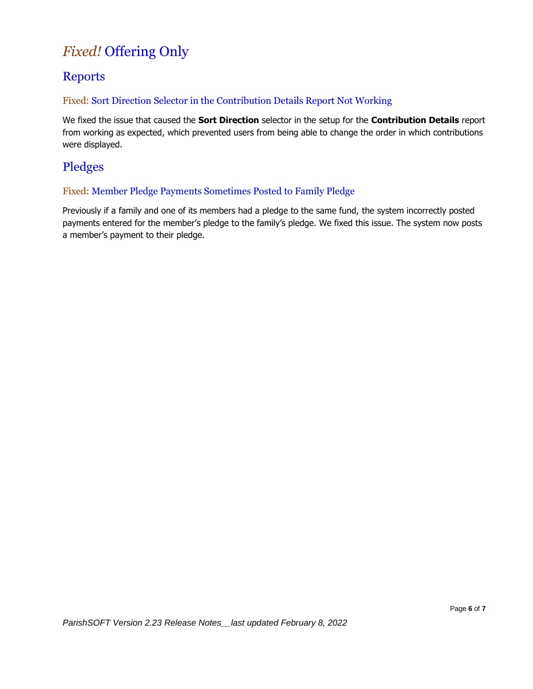## <span id="page-5-0"></span>*Fixed!* Offering Only

## <span id="page-5-1"></span>Reports

#### Fixed: Sort Direction Selector in the Contribution Details Report Not Working

We fixed the issue that caused the **Sort Direction** selector in the setup for the **Contribution Details** report from working as expected, which prevented users from being able to change the order in which contributions were displayed.

## <span id="page-5-2"></span>Pledges

#### Fixed: Member Pledge Payments Sometimes Posted to Family Pledge

Previously if a family and one of its members had a pledge to the same fund, the system incorrectly posted payments entered for the member's pledge to the family's pledge. We fixed this issue. The system now posts a member's payment to their pledge.